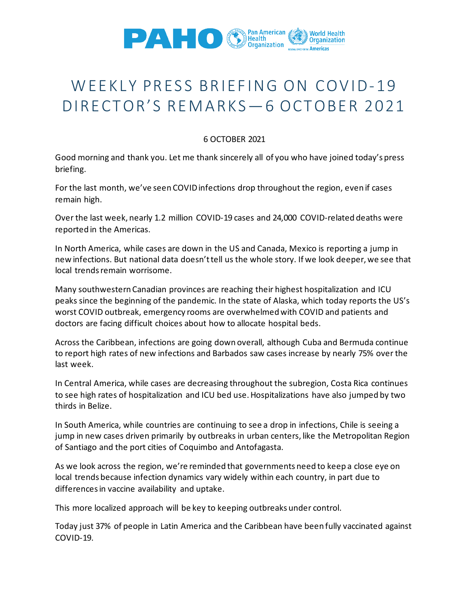

## WEEKLY PRESS BRIEFING ON COVID-19 DIRECTOR'S REMARKS—6 OCTOBER 2021

## 6 OCTOBER 2021

Good morning and thank you. Let me thank sincerely all of you who have joined today's press briefing.

For the last month, we've seen COVID infections drop throughout the region, even if cases remain high.

Over the last week, nearly 1.2 million COVID-19 cases and 24,000 COVID-related deaths were reported in the Americas.

In North America, while cases are down in the US and Canada, Mexico is reporting a jump in new infections. But national data doesn't tell us the whole story. If we look deeper, we see that local trends remain worrisome.

Many southwestern Canadian provinces are reaching their highest hospitalization and ICU peaks since the beginning of the pandemic. In the state of Alaska, which today reports the US's worst COVID outbreak, emergency rooms are overwhelmed with COVID and patients and doctors are facing difficult choices about how to allocate hospital beds.

Across the Caribbean, infections are going down overall, although Cuba and Bermuda continue to report high rates of new infections and Barbados saw cases increase by nearly 75% over the last week.

In Central America, while cases are decreasing throughout the subregion, Costa Rica continues to see high rates of hospitalization and ICU bed use. Hospitalizations have also jumped by two thirds in Belize.

In South America, while countries are continuing to see a drop in infections, Chile is seeing a jump in new cases driven primarily by outbreaks in urban centers, like the Metropolitan Region of Santiago and the port cities of Coquimbo and Antofagasta.

As we look across the region, we're reminded that governments need to keep a close eye on local trends because infection dynamics vary widely within each country, in part due to differences in vaccine availability and uptake.

This more localized approach will be key to keeping outbreaks under control.

Today just 37% of people in Latin America and the Caribbean have been fully vaccinated against COVID-19.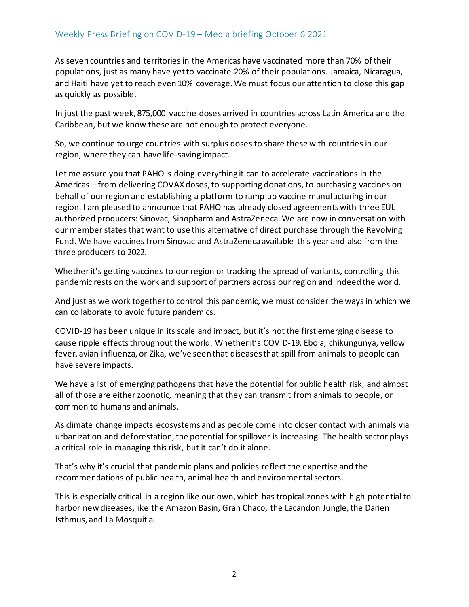As seven countries and territories in the Americas have vaccinated more than 70% of their populations, just as many have yet to vaccinate 20% of their populations. Jamaica, Nicaragua, and Haiti have yet to reach even 10% coverage. We must focus our attention to close this gap as quickly as possible.

In just the past week, 875,000 vaccine doses arrived in countries across Latin America and the Caribbean, but we know these are not enough to protect everyone.

So, we continue to urge countries with surplus doses to share these with countries in our region, where they can have life-saving impact.

Let me assure you that PAHO is doing everything it can to accelerate vaccinations in the Americas – from delivering COVAX doses, to supporting donations, to purchasing vaccines on behalf of our region and establishing a platform to ramp up vaccine manufacturing in our region. I am pleased to announce that PAHO has already closed agreements with three EUL authorized producers: Sinovac, Sinopharm and AstraZeneca. We are now in conversation with our member states that want to use this alternative of direct purchase through the Revolving Fund. We have vaccines from Sinovac and AstraZeneca available this year and also from the three producers to 2022.

Whether it's getting vaccines to our region or tracking the spread of variants, controlling this pandemic rests on the work and support of partners across our region and indeed the world.

And just as we work together to control this pandemic, we must consider the ways in which we can collaborate to avoid future pandemics.

COVID-19 has been unique in its scale and impact, but it's not the first emerging disease to cause ripple effects throughout the world. Whether it's COVID-19, Ebola, chikungunya, yellow fever, avian influenza, or Zika, we've seen that diseases that spill from animals to people can have severe impacts.

We have a list of emerging pathogens that have the potential for public health risk, and almost all of those are either zoonotic, meaning that they can transmit from animals to people, or common to humans and animals.

As climate change impacts ecosystems and as people come into closer contact with animals via urbanization and deforestation, the potential for spillover is increasing. The health sector plays a critical role in managing this risk, but it can't do it alone.

That's why it's crucial that pandemic plans and policies reflect the expertise and the recommendations of public health, animal health and environmental sectors.

This is especially critical in a region like our own, which has tropical zones with high potential to harbor new diseases, like the Amazon Basin, Gran Chaco, the Lacandon Jungle, the Darien Isthmus, and La Mosquitia.